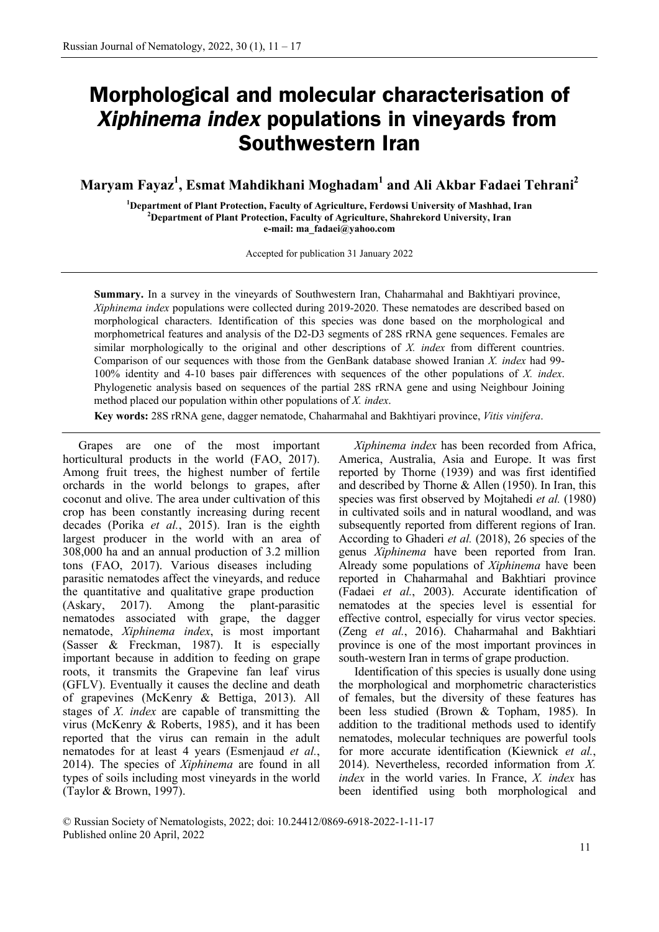# **Morphological and molecular characterisation of**  *Xiphinema index* **populations in vineyards from Southwestern Iran**

**Maryam Fayaz1 , Esmat Mahdikhani Moghadam1 and Ali Akbar Fadaei Tehrani2**

<sup>1</sup> Department of Plant Protection, Faculty of Agriculture, Ferdowsi University of Mashhad, Iran <sup>2</sup> Department of Plant Protection, Feeulty of Agriculture, Shahrakard University, Iran **Department of Plant Protection, Faculty of Agriculture, Shahrekord University, Iran e-mail: ma\_fadaei@yahoo.com**

Accepted for publication 31 January 2022

**Summary.** In a survey in the vineyards of Southwestern Iran, Chaharmahal and Bakhtiyari province, *Xiphinema index* populations were collected during 2019-2020. These nematodes are described based on morphological characters. Identification of this species was done based on the morphological and morphometrical features and analysis of the D2-D3 segments of 28S rRNA gene sequences. Females are similar morphologically to the original and other descriptions of *X. index* from different countries. Comparison of our sequences with those from the GenBank database showed Iranian *X. index* had 99- 100% identity and 4-10 bases pair differences with sequences of the other populations of *X. index*. Phylogenetic analysis based on sequences of the partial 28S rRNA gene and using Neighbour Joining method placed our population within other populations of *X. index*.

**Key words:** 28S rRNA gene, dagger nematode, Chaharmahal and Bakhtiyari province, *Vitis vinifera*.

Grapes are one of the most important horticultural products in the world (FAO, 2017). Among fruit trees, the highest number of fertile orchards in the world belongs to grapes, after coconut and olive. The area under cultivation of this crop has been constantly increasing during recent decades (Porika *et al.*, 2015). Iran is the eighth largest producer in the world with an area of 308,000 ha and an annual production of 3.2 million tons (FAO, 2017). Various diseases including parasitic nematodes affect the vineyards, and reduce the quantitative and qualitative grape production (Askary, 2017). Among the plant-parasitic nematodes associated with grape, the dagger nematode, *Xiphinema index*, is most important (Sasser & Freckman, 1987). It is especially important because in addition to feeding on grape roots, it transmits the Grapevine fan leaf virus (GFLV). Eventually it causes the decline and death of grapevines (McKenry & Bettiga, 2013). All stages of *X. index* are capable of transmitting the virus (McKenry & Roberts, 1985), and it has been reported that the virus can remain in the adult nematodes for at least 4 years (Esmenjaud *et al.*, 2014). The species of *Xiphinema* are found in all types of soils including most vineyards in the world (Taylor & Brown, 1997).

*Xiphinema index* has been recorded from Africa, America, Australia, Asia and Europe. It was first reported by Thorne (1939) and was first identified and described by Thorne & Allen (1950). In Iran, this species was first observed by Mojtahedi *et al.* (1980) in cultivated soils and in natural woodland, and was subsequently reported from different regions of Iran. According to Ghaderi *et al.* (2018), 26 species of the genus *Xiphinema* have been reported from Iran. Already some populations of *Xiphinema* have been reported in Chaharmahal and Bakhtiari province (Fadaei *et al.*, 2003). Accurate identification of nematodes at the species level is essential for effective control, especially for virus vector species. (Zeng *et al.*, 2016). Chaharmahal and Bakhtiari province is one of the most important provinces in south-western Iran in terms of grape production.

Identification of this species is usually done using the morphological and morphometric characteristics of females, but the diversity of these features has been less studied (Brown & Topham, 1985). In addition to the traditional methods used to identify nematodes, molecular techniques are powerful tools for more accurate identification (Kiewnick *et al.*, 2014). Nevertheless, recorded information from *X. index* in the world varies. In France, *X. index* has been identified using both morphological and

© Russian Society of Nematologists, 2022; doi: 10.24412/0869-6918-2022-1-11-17 Published online 20 April, 2022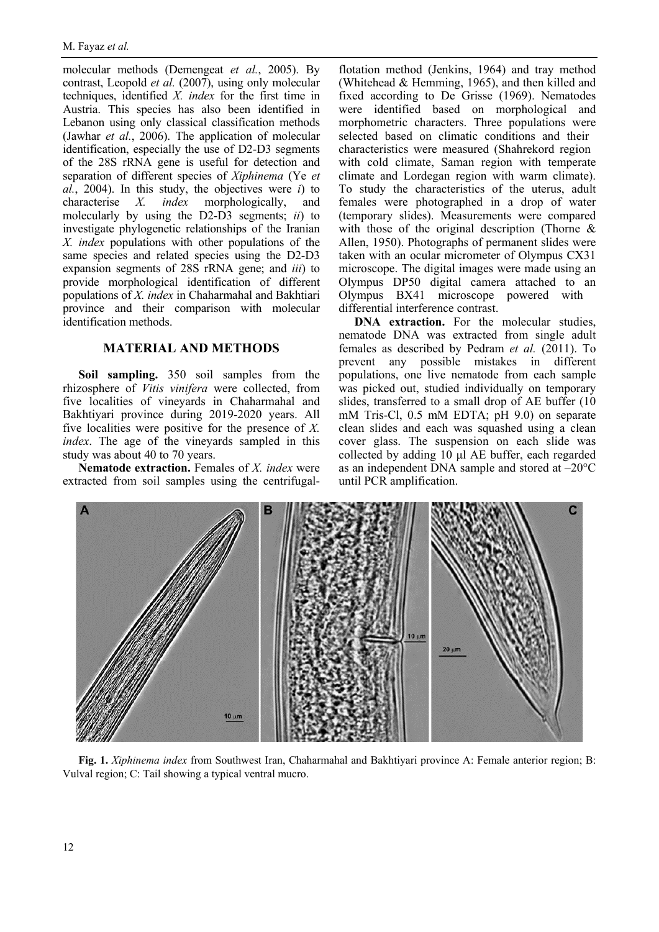molecular methods (Demengeat *et al.*, 2005). By contrast, Leopold *et al.* (2007), using only molecular techniques, identified *X. index* for the first time in Austria. This species has also been identified in Lebanon using only classical classification methods (Jawhar *et al.*, 2006). The application of molecular identification, especially the use of D2-D3 segments of the 28S rRNA gene is useful for detection and separation of different species of *Xiphinema* (Ye *et al.*, 2004). In this study, the objectives were *i*) to characterise *X. index* morphologically, and molecularly by using the D2-D3 segments; *ii*) to investigate phylogenetic relationships of the Iranian *X. index* populations with other populations of the same species and related species using the D2-D3 expansion segments of 28S rRNA gene; and *iii*) to provide morphological identification of different populations of *X. index* in Chaharmahal and Bakhtiari province and their comparison with molecular identification methods.

## **MATERIAL AND METHODS**

**Soil sampling.** 350 soil samples from the rhizosphere of *Vitis vinifera* were collected, from five localities of vineyards in Chaharmahal and Bakhtiyari province during 2019-2020 years. All five localities were positive for the presence of *X. index*. The age of the vineyards sampled in this study was about 40 to 70 years.

**Nematode extraction.** Females of *X. index* were extracted from soil samples using the centrifugalflotation method (Jenkins, 1964) and tray method (Whitehead & Hemming, 1965), and then killed and fixed according to De Grisse (1969). Nematodes were identified based on morphological and morphometric characters. Three populations were selected based on climatic conditions and their characteristics were measured (Shahrekord region with cold climate, Saman region with temperate climate and Lordegan region with warm climate). To study the characteristics of the uterus, adult females were photographed in a drop of water (temporary slides). Measurements were compared with those of the original description (Thorne & Allen, 1950). Photographs of permanent slides were taken with an ocular micrometer of Olympus CX31 microscope. The digital images were made using an Olympus DP50 digital camera attached to an Olympus BX41 microscope powered with differential interference contrast.

**DNA** extraction. For the molecular studies, nematode DNA was extracted from single adult females as described by Pedram *et al.* (2011). To prevent any possible mistakes in different populations, one live nematode from each sample was picked out, studied individually on temporary slides, transferred to a small drop of AE buffer (10 mM Tris-Cl, 0.5 mM EDTA; pH 9.0) on separate clean slides and each was squashed using a clean cover glass. The suspension on each slide was collected by adding 10 μl AE buffer, each regarded as an independent DNA sample and stored at –20°C until PCR amplification.



**Fig. 1.** *Xiphinema index* from Southwest Iran, Chaharmahal and Bakhtiyari province A: Female anterior region; B: Vulval region; C: Tail showing a typical ventral mucro.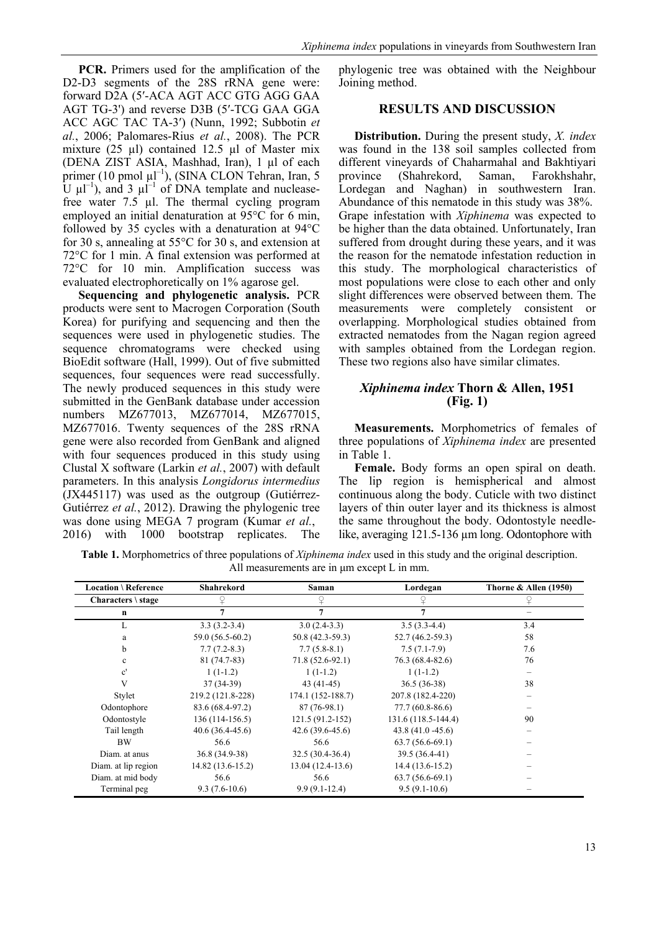**PCR.** Primers used for the amplification of the D2-D3 segments of the 28S rRNA gene were: forward D2A (5′-ACA AGT ACC GTG AGG GAA AGT TG-3') and reverse D3B (5′-TCG GAA GGA ACC AGC TAC TA-3′) (Nunn, 1992; Subbotin *et al.*, 2006; Palomares-Rius *et al.*, 2008). The PCR mixture  $(25 \text{ µ})$  contained 12.5  $\text{µ}$  of Master mix (DENA ZIST ASIA, Mashhad, Iran), 1 µl of each primer (10 pmol  $\mu$ l<sup>-1</sup>), (SINA CLON Tehran, Iran, 5 U  $\mu$ l<sup>-1</sup>), and 3  $\mu$ l<sup>-1</sup> of DNA template and nucleasefree water 7.5 µl. The thermal cycling program employed an initial denaturation at 95°C for 6 min, followed by 35 cycles with a denaturation at 94°C for 30 s, annealing at 55°C for 30 s, and extension at 72°C for 1 min. A final extension was performed at 72°C for 10 min. Amplification success was evaluated electrophoretically on 1% agarose gel.

**Sequencing and phylogenetic analysis.** PCR products were sent to Macrogen Corporation (South Korea) for purifying and sequencing and then the sequences were used in phylogenetic studies. The sequence chromatograms were checked using BioEdit software (Hall, 1999). Out of five submitted sequences, four sequences were read successfully. The newly produced sequences in this study were submitted in the GenBank database under accession numbers MZ677013, MZ677014, MZ677015, MZ677016. Twenty sequences of the 28S rRNA gene were also recorded from GenBank and aligned with four sequences produced in this study using Clustal X software (Larkin *et al.*, 2007) with default parameters. In this analysis *Longidorus intermedius* (JX445117) was used as the outgroup (Gutiérrez-Gutiérrez *et al.*, 2012). Drawing the phylogenic tree was done using MEGA 7 program (Kumar *et al.*, 2016) with 1000 bootstrap replicates. The

phylogenic tree was obtained with the Neighbour Joining method.

#### **RESULTS AND DISCUSSION**

**Distribution.** During the present study, *X. index* was found in the 138 soil samples collected from different vineyards of Chaharmahal and Bakhtiyari province (Shahrekord, Saman, Farokhshahr, Lordegan and Naghan) in southwestern Iran. Abundance of this nematode in this study was 38%. Grape infestation with *Xiphinema* was expected to be higher than the data obtained. Unfortunately, Iran suffered from drought during these years, and it was the reason for the nematode infestation reduction in this study. The morphological characteristics of most populations were close to each other and only slight differences were observed between them. The measurements were completely consistent or overlapping. Morphological studies obtained from extracted nematodes from the Nagan region agreed with samples obtained from the Lordegan region. These two regions also have similar climates.

## *Xiphinema index* **Thorn & Allen, 1951 (Fig. 1)**

**Measurements.** Morphometrics of females of three populations of *Xiphinema index* are presented in Table 1.

**Female.** Body forms an open spiral on death. The lip region is hemispherical and almost continuous along the body. Cuticle with two distinct layers of thin outer layer and its thickness is almost the same throughout the body. Odontostyle needlelike, averaging 121.5-136 µm long. Odontophore with

**Table 1.** Morphometrics of three populations of *Xiphinema index* used in this study and the original description. All measurements are in μm except L in mm.

| <b>Location \ Reference</b> | Shahrekord        | Saman              | Lordegan            | Thorne $&$ Allen (1950) |
|-----------------------------|-------------------|--------------------|---------------------|-------------------------|
| Characters $\lambda$ stage  |                   |                    |                     |                         |
| $\mathbf n$                 |                   | 7                  |                     |                         |
| L                           | $3.3(3.2-3.4)$    | $3.0(2.4-3.3)$     | $3.5(3.3-4.4)$      | 3.4                     |
| a                           | 59.0 (56.5-60.2)  | 50.8 (42.3-59.3)   | $52.7(46.2-59.3)$   | 58                      |
| b                           | $7.7(7.2-8.3)$    | $7.7(5.8-8.1)$     | $7.5(7.1-7.9)$      | 7.6                     |
| $\mathbf{c}$                | 81 (74.7-83)      | $71.8(52.6-92.1)$  | 76.3 (68.4-82.6)    | 76                      |
| $\mathbf{c}^{\prime}$       | $1(1-1.2)$        | $1(1-1.2)$         | $1(1-1.2)$          |                         |
| V                           | $37(34-39)$       | $43(41-45)$        | $36.5(36-38)$       | 38                      |
| Stylet                      | 219.2 (121.8-228) | 174.1 (152-188.7)  | 207.8 (182.4-220)   |                         |
| Odontophore                 | 83.6 (68.4-97.2)  | $87(76-98.1)$      | $77.7(60.8-86.6)$   |                         |
| Odontostyle                 | 136 (114-156.5)   | $121.5(91.2-152)$  | 131.6 (118.5-144.4) | 90                      |
| Tail length                 | $40.6(36.4-45.6)$ | $42.6(39.6-45.6)$  | $43.8(41.0 - 45.6)$ |                         |
| <b>BW</b>                   | 56.6              | 56.6               | $63.7(56.6-69.1)$   |                         |
| Diam. at anus               | 36.8 (34.9-38)    | $32.5(30.4-36.4)$  | 39.5 (36.4-41)      |                         |
| Diam. at lip region         | 14.82 (13.6-15.2) | $13.04(12.4-13.6)$ | $14.4(13.6-15.2)$   |                         |
| Diam. at mid body           | 56.6              | 56.6               | $63.7(56.6-69.1)$   |                         |
| Terminal peg                | $9.3(7.6-10.6)$   | $9.9(9.1-12.4)$    | $9.5(9.1-10.6)$     |                         |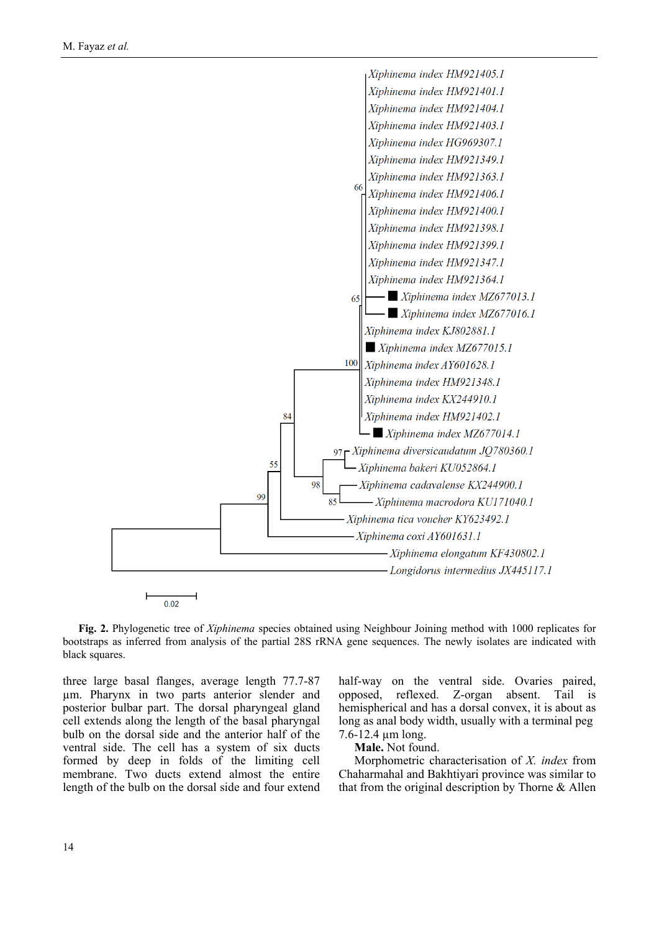

**Fig. 2.** Phylogenetic tree of *Xiphinema* species obtained using Neighbour Joining method with 1000 replicates for bootstraps as inferred from analysis of the partial 28S rRNA gene sequences. The newly isolates are indicated with black squares.

three large basal flanges, average length 77.7-87 µm. Pharynx in two parts anterior slender and posterior bulbar part. The dorsal pharyngeal gland cell extends along the length of the basal pharyngal bulb on the dorsal side and the anterior half of the ventral side. The cell has a system of six ducts formed by deep in folds of the limiting cell membrane. Two ducts extend almost the entire length of the bulb on the dorsal side and four extend

half-way on the ventral side. Ovaries paired, opposed, reflexed. Z-organ absent. Tail is hemispherical and has a dorsal convex, it is about as long as anal body width, usually with a terminal peg 7.6-12.4 µm long.

**Male.** Not found.

Morphometric characterisation of *X. index* from Chaharmahal and Bakhtiyari province was similar to that from the original description by Thorne & Allen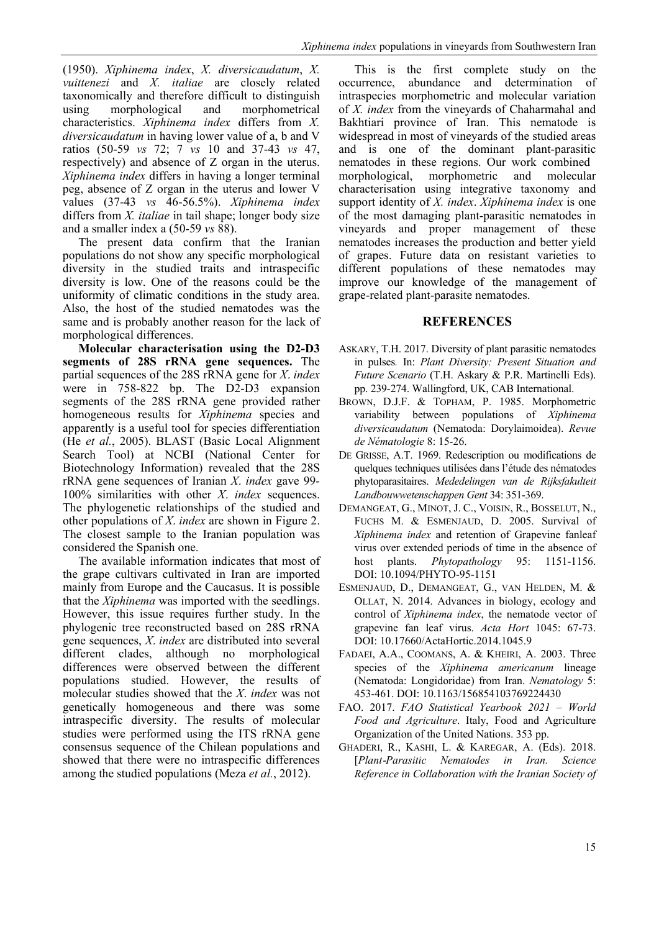(1950). *Xiphinema index*, *X. diversicaudatum*, *X. vuittenezi* and *X. italiae* are closely related taxonomically and therefore difficult to distinguish using morphological and morphometrical characteristics. *Xiphinema index* differs from *X. diversicaudatum* in having lower value of a, b and V ratios (50-59 *vs* 72; 7 *vs* 10 and 37-43 *vs* 47, respectively) and absence of Z organ in the uterus. *Xiphinema index* differs in having a longer terminal peg, absence of Z organ in the uterus and lower V values (37-43 *vs* 46-56.5%). *Xiphinema index* differs from *X. italiae* in tail shape; longer body size and a smaller index a (50-59 *vs* 88).

The present data confirm that the Iranian populations do not show any specific morphological diversity in the studied traits and intraspecific diversity is low. One of the reasons could be the uniformity of climatic conditions in the study area. Also, the host of the studied nematodes was the same and is probably another reason for the lack of morphological differences.

**Molecular characterisation using the D2-D3 segments of 28S rRNA gene sequences.** The partial sequences of the 28S rRNA gene for *X*. *index* were in 758-822 bp. The D2-D3 expansion segments of the 28S rRNA gene provided rather homogeneous results for *Xiphinema* species and apparently is a useful tool for species differentiation (He *et al.*, 2005). BLAST (Basic Local Alignment Search Tool) at NCBI (National Center for Biotechnology Information) revealed that the 28S rRNA gene sequences of Iranian *X*. *index* gave 99- 100% similarities with other *X*. *index* sequences. The phylogenetic relationships of the studied and other populations of *X*. *index* are shown in Figure 2. The closest sample to the Iranian population was considered the Spanish one.

The available information indicates that most of the grape cultivars cultivated in Iran are imported mainly from Europe and the Caucasus. It is possible that the *Xiphinema* was imported with the seedlings. However, this issue requires further study. In the phylogenic tree reconstructed based on 28S rRNA gene sequences, *X*. *index* are distributed into several different clades, although no morphological differences were observed between the different populations studied. However, the results of molecular studies showed that the *X*. *index* was not genetically homogeneous and there was some intraspecific diversity. The results of molecular studies were performed using the ITS rRNA gene consensus sequence of the Chilean populations and showed that there were no intraspecific differences among the studied populations (Meza *et al.*, 2012).

This is the first complete study on the occurrence, abundance and determination of intraspecies morphometric and molecular variation of *X. index* from the vineyards of Chaharmahal and Bakhtiari province of Iran. This nematode is widespread in most of vineyards of the studied areas and is one of the dominant plant-parasitic nematodes in these regions. Our work combined morphological, morphometric and molecular characterisation using integrative taxonomy and support identity of *X. index*. *Xiphinema index* is one of the most damaging plant-parasitic nematodes in vineyards and proper management of these nematodes increases the production and better yield of grapes. Future data on resistant varieties to different populations of these nematodes may improve our knowledge of the management of grape-related plant-parasite nematodes.

### **REFERENCES**

- ASKARY, T.H. 2017. Diversity of plant parasitic nematodes in pulses*.* In: *Plant Diversity: Present Situation and Future Scenario* (T.H. Askary & P.R. Martinelli Eds). pp. 239-274. Wallingford, UK, CAB International.
- BROWN, D.J.F. & TOPHAM, P. 1985. Morphometric variability between populations of *Xiphinema diversicaudatum* (Nematoda: Dorylaimoidea). *Revue de Nématologie* 8: 15-26.
- DE GRISSE, A.T. 1969. Redescription ou modifications de quelques techniques utilisées dans l'étude des nématodes phytoparasitaires. *Mededelingen van de Rijksfakulteit Landbouwwetenschappen Gent* 34: 351-369.
- DEMANGEAT, G., MINOT, J. C., VOISIN, R., BOSSELUT, N., FUCHS M. & ESMENJAUD, D. 2005. Survival of *Xiphinema index* and retention of Grapevine fanleaf virus over extended periods of time in the absence of host plants. *Phytopathology* 95: 1151-1156. DOI: 10.1094/PHYTO-95-1151
- ESMENJAUD, D., DEMANGEAT, G., VAN HELDEN, M. & OLLAT, N. 2014. Advances in biology, ecology and control of *Xiphinema index*, the nematode vector of grapevine fan leaf virus. *Acta Hort* 1045: 67-73. DOI: [10.17660/ActaHortic.2014.1045.9](https://doi.org/10.17660/ActaHortic.2014.1045.9)
- FADAEI, A.A., COOMANS, A. & KHEIRI, A. 2003. Three species of the *Xiphinema americanum* lineage (Nematoda: Longidoridae) from Iran. *Nematology* 5: 453-461[. DOI: 10.1163/156854103769224430](https://doi.org/10.1163/156854103769224430)
- FAO. 2017. *FAO Statistical Yearbook 2021 – World Food and Agriculture*. Italy, Food and Agriculture Organization of the United Nations. 353 pp.
- GHADERI, R., KASHI, L. & KAREGAR, A. (Eds). 2018. [*Plant*-*Parasitic Nematodes in Iran. Science Reference in Collaboration with the Iranian Society of*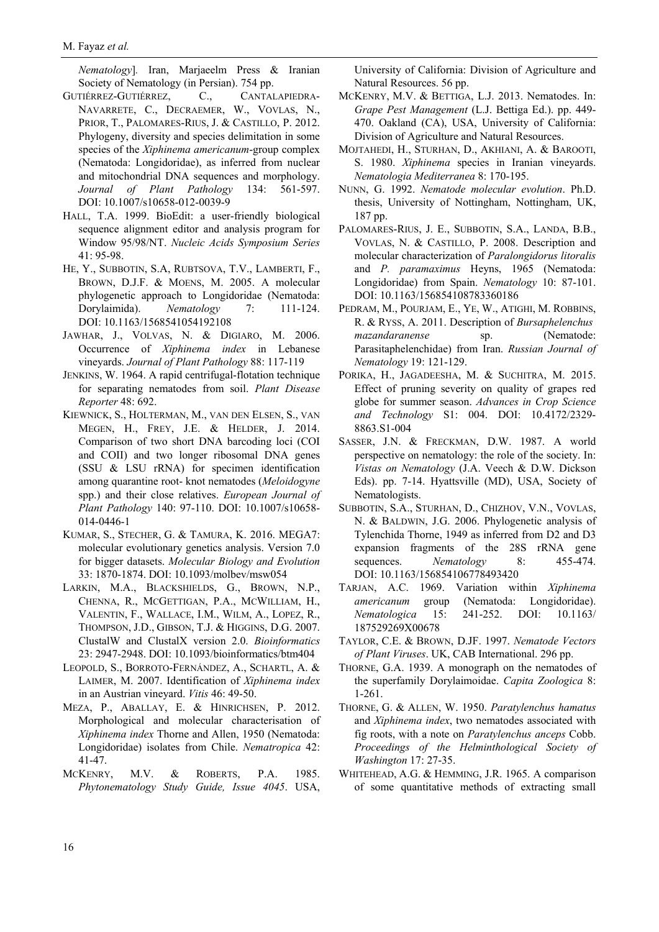*Nematology*]*.* Iran, Marjaeelm Press & Iranian Society of Nematology (in Persian). 754 pp.

- GUTIÉRREZ-GUTIÉRREZ, C., CANTALAPIEDRA-NAVARRETE, C., DECRAEMER, W., VOVLAS, N., PRIOR, T., PALOMARES-RIUS, J. & CASTILLO, P. 2012. Phylogeny, diversity and species delimitation in some species of the *Xiphinema americanum*-group complex (Nematoda: Longidoridae), as inferred from nuclear and mitochondrial DNA sequences and morphology. *Journal of Plant Pathology* 134: 561-597. DOI: [10.1007/s10658-012-0039-9](https://www.doi.org/10.1163/156854108783360186)
- HALL, T.A. 1999. BioEdit: a user-friendly biological sequence alignment editor and analysis program for Window 95/98/NT. *Nucleic Acids Symposium Series*  41: 95-98.
- HE, Y., SUBBOTIN, S.A, RUBTSOVA, T.V., LAMBERTI, F., BROWN, D.J.F. & MOENS, M. 2005. A molecular phylogenetic approach to Longidoridae (Nematoda: Dorylaimida). *Nematology* 7: 111-124. DOI: [10.1163/1568541054192108](https://doi.org/10.1163/1568541054192108)
- JAWHAR, J., VOLVAS, N. & DIGIARO, M. 2006. Occurrence of *Xiphinema index* in Lebanese vineyards. *Journal of Plant Pathology* 88: 117-119
- JENKINS, W. 1964. A rapid centrifugal-flotation technique for separating nematodes from soil. *Plant Disease Reporter* 48: 692.
- KIEWNICK, S., HOLTERMAN, M., VAN DEN ELSEN, S., VAN MEGEN, H., FREY, J.E. & HELDER, J. 2014. Comparison of two short DNA barcoding loci (COI and COII) and two longer ribosomal DNA genes (SSU & LSU rRNA) for specimen identification among quarantine root- knot nematodes (*Meloidogyne* spp.) and their close relatives. *European Journal of Plant Pathology* 140: 97-110. [DOI: 10.1007/s10658-](http://dx.doi.org/10.1007/s10658-014-0446-1) [014-0446-1](http://dx.doi.org/10.1007/s10658-014-0446-1)
- KUMAR, S., STECHER, G. & TAMURA, K. 2016. MEGA7: molecular evolutionary genetics analysis. Version 7.0 for bigger datasets. *Molecular Biology and Evolution* 33: 1870-1874[. DOI: 10.1093/molbev/msw054](https://doi.org/10.1093/molbev/msw054)
- LARKIN, M.A., BLACKSHIELDS, G., BROWN, N.P., CHENNA, R., MCGETTIGAN, P.A., MCWILLIAM, H., VALENTIN, F., WALLACE, I.M., WILM, A., LOPEZ, R., THOMPSON, J.D., GIBSON, T.J. & HIGGINS, D.G. 2007. ClustalW and ClustalX version 2.0. *Bioinformatics* 23: 2947-2948[. DOI: 10.1093/bioinformatics/btm404](https://doi.org/10.1093/bioinformatics/btm404)
- LEOPOLD, S., BORROTO-FERNÁNDEZ, A., SCHARTL, A. & LAIMER, M. 2007. Identification of *Xiphinema index* in an Austrian vineyard. *Vitis* 46: 49-50.
- MEZA, P., ABALLAY, E. & HINRICHSEN, P. 2012. Morphological and molecular characterisation of *Xiphinema index* Thorne and Allen, 1950 (Nematoda: Longidoridae) isolates from Chile. *Nematropica* 42: 41-47.
- MCKENRY, M.V. & ROBERTS, P.A. 1985. *Phytonematology Study Guide, Issue 4045*. USA,

University of California: Division of Agriculture and Natural Resources. 56 pp.

- MCKENRY, M.V. & BETTIGA, L.J. 2013. Nematodes. In: *Grape Pest Management* (L.J. Bettiga Ed.). pp. 449- 470. Oakland (CA), USA, University of California: Division of Agriculture and Natural Resources.
- MOJTAHEDI, H., STURHAN, D., AKHIANI, A. & BAROOTI, S. 1980. *Xiphinema* species in Iranian vineyards. *Nematologia Mediterranea* 8: 170-195.
- NUNN, G. 1992. *Nematode molecular evolution*. Ph.D. thesis, University of Nottingham, Nottingham, UK, 187 pp.
- PALOMARES-RIUS, J. E., SUBBOTIN, S.A., LANDA, B.B., VOVLAS, N. & CASTILLO, P. 2008. Description and molecular characterization of *Paralongidorus litoralis* and *P. paramaximus* Heyns, 1965 (Nematoda: Longidoridae) from Spain. *Nematology* 10: 87-101. [DOI: 10.1163/156854108783360186](http://dx.doi.org/10.1163/156854108783360186)
- PEDRAM, M., POURJAM, E., YE, W., ATIGHI, M. ROBBINS, R. & RYSS, A. 2011. Description of *Bursaphelenchus mazandaranense* sp. (Nematode: Parasitaphelenchidae) from Iran. *Russian Journal of Nematology* 19: 121-129.
- PORIKA, H., JAGADEESHA, M. & SUCHITRA, M. 2015. Effect of pruning severity on quality of grapes red globe for summer season. *Advances in Crop Science and Technology* S1: 004. DOI: [10.4172/2329-](http://dx.doi.org/10.4172/2329-8863.S1-004) [8863.S1-004](http://dx.doi.org/10.4172/2329-8863.S1-004)
- SASSER, J.N. & FRECKMAN, D.W. 1987. A world perspective on nematology: the role of the society. In: *Vistas on Nematology* (J.A. Veech & D.W. Dickson Eds). pp. 7-14. Hyattsville (MD), USA, Society of Nematologists.
- SUBBOTIN, S.A., STURHAN, D., CHIZHOV, V.N., VOVLAS, N. & BALDWIN, J.G. 2006. Phylogenetic analysis of Tylenchida Thorne, 1949 as inferred from D2 and D3 expansion fragments of the 28S rRNA gene sequences. *Nematology* 8: 455-474. DOI: [10.1163/156854106778493420](https://doi.org/10.1163/156854106778493420)
- TARJAN, A.C. 1969. Variation within *Xiphinema americanum* group (Nematoda: Longidoridae). *Nematologica* 15: 241-252. DOI: [10.1163/](https://doi.org/10.1163/187529269X00678) [187529269X00678](https://doi.org/10.1163/187529269X00678)
- TAYLOR, C.E. & BROWN, D.JF. 1997. *Nematode Vectors of Plant Viruses*. UK, CAB International. 296 pp.
- THORNE, G.A. 1939. A monograph on the nematodes of the superfamily Dorylaimoidae. *Capita Zoologica* 8: 1-261.
- THORNE, G. & ALLEN, W. 1950. *Paratylenchus hamatus* and *Xiphinema index*, two nematodes associated with fig roots, with a note on *Paratylenchus anceps* Cobb. *Proceedings of the Helminthological Society of Washington* 17: 27-35.
- WHITEHEAD, A.G. & HEMMING, J.R. 1965. A comparison of some quantitative methods of extracting small